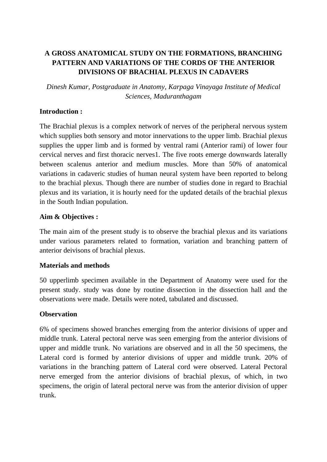# **A GROSS ANATOMICAL STUDY ON THE FORMATIONS, BRANCHING PATTERN AND VARIATIONS OF THE CORDS OF THE ANTERIOR DIVISIONS OF BRACHIAL PLEXUS IN CADAVERS**

*Dinesh Kumar, Postgraduate in Anatomy, Karpaga Vinayaga Institute of Medical Sciences, Maduranthagam*

### **Introduction :**

The Brachial plexus is a complex network of nerves of the peripheral nervous system which supplies both sensory and motor innervations to the upper limb. Brachial plexus supplies the upper limb and is formed by ventral rami (Anterior rami) of lower four cervical nerves and first thoracic nerves1. The five roots emerge downwards laterally between scalenus anterior and medium muscles. More than 50% of anatomical variations in cadaveric studies of human neural system have been reported to belong to the brachial plexus. Though there are number of studies done in regard to Brachial plexus and its variation, it is hourly need for the updated details of the brachial plexus in the South Indian population.

# **Aim & Objectives :**

The main aim of the present study is to observe the brachial plexus and its variations under various parameters related to formation, variation and branching pattern of anterior deivisons of brachial plexus.

#### **Materials and methods**

50 upperlimb specimen available in the Department of Anatomy were used for the present study. study was done by routine dissection in the dissection hall and the observations were made. Details were noted, tabulated and discussed.

#### **Observation**

6% of specimens showed branches emerging from the anterior divisions of upper and middle trunk. Lateral pectoral nerve was seen emerging from the anterior divisions of upper and middle trunk. No variations are observed and in all the 50 specimens, the Lateral cord is formed by anterior divisions of upper and middle trunk. 20% of variations in the branching pattern of Lateral cord were observed. Lateral Pectoral nerve emerged from the anterior divisions of brachial plexus, of which, in two specimens, the origin of lateral pectoral nerve was from the anterior division of upper trunk.